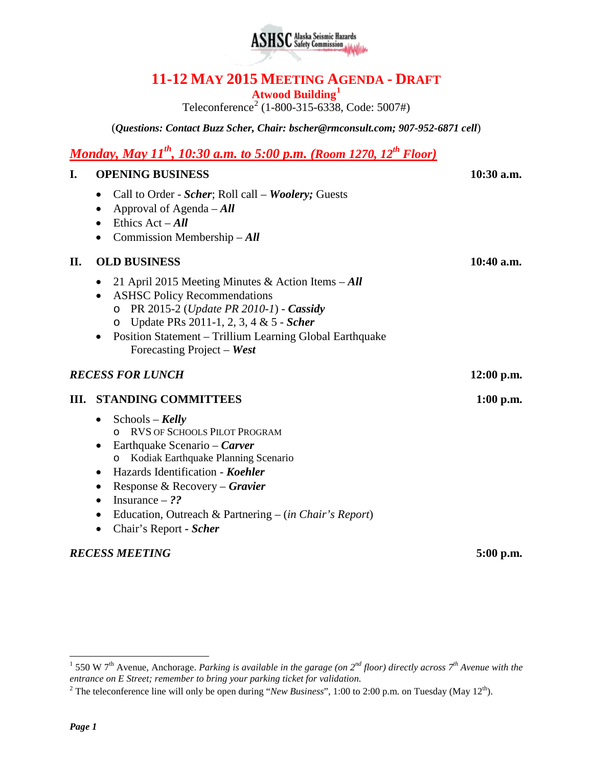

# **11-12 MAY 2015 MEETING AGENDA - DRAFT**

**Atwood Building[1](#page-0-0)**

Teleconference<sup>[2](#page-0-1)</sup> (1-800-315-6338, Code: 5007#)

(*Questions: Contact Buzz Scher, Chair: [bscher@rmconsult.com;](mailto:bscher@rmconsult.com) 907-952-6871 cell*)

# *Monday, May 11th, 10:30 a.m. to 5:00 p.m. (Room 1270, 12th Floor)*

#### **I. OPENING BUSINESS 10:30 a.m.**

- Call to Order *Scher*; Roll call *Woolery;* Guests
- Approval of Agenda *All*
- Ethics Act **All**
- Commission Membership *All*

#### **II. OLD BUSINESS 10:40 a.m.**

- 21 April 2015 Meeting Minutes & Action Items *All*
- ASHSC Policy Recommendations
	- o PR 2015-2 (*Update PR 2010-1*) *Cassidy*
	- o Update PRs 2011-1, 2, 3, 4 & 5 *Scher*
- Position Statement Trillium Learning Global Earthquake Forecasting Project – *West*

#### *RECESS FOR LUNCH* **12:00 p.m.**

#### **III. STANDING COMMITTEES 1:00 p.m.**

- Schools *Kelly* o RVS OF SCHOOLS PILOT PROGRAM • Earthquake Scenario – *Carver*
	- o Kodiak Earthquake Planning Scenario
- Hazards Identification *Koehler*
- Response & Recovery *Gravier*
- Insurance ??
- Education, Outreach & Partnering (*in Chair's Report*)
- Chair's Report *- Scher*

#### *RECESS MEETING* **5:00 p.m.**

<span id="page-0-0"></span> <sup>1</sup> 550 W 7th Avenue, Anchorage. *Parking is available in the garage (on 2nd floor) directly across 7th Avenue with the entrance on E Street; remember to bring your parking ticket for validation.*

<span id="page-0-1"></span><sup>&</sup>lt;sup>2</sup> The teleconference line will only be open during "*New Business*", 1:00 to 2:00 p.m. on Tuesday (May  $12<sup>th</sup>$ ).